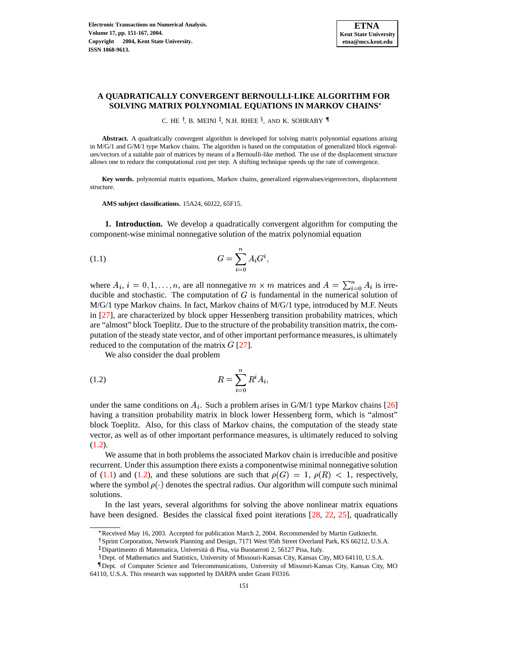## **A QUADRATICALLY CONVERGENT BERNOULLI-LIKE ALGORITHM FOR SOLVING MATRIX POLYNOMIAL EQUATIONS IN MARKOV CHAINS**

C. HE <sup>†</sup>, B. MEINI <sup>‡</sup>, N.H. RHEE <sup>§</sup>, AND K. SOHRABY  $\P$ 

**Abstract.** A quadratically convergent algorithm is developed for solving matrix polynomial equations arising in M/G/1 and G/M/1 type Markov chains. The algorithm is based on the computation of generalized block eigenvalues/vectors of a suitable pair of matrices by means of a Bernoulli-like method. The use of the displacement structure allows one to reduce the computational cost per step. A shifting technique speeds up the rate of convergence.

**Key words.** polynomial matrix equations, Markov chains, generalized eigenvalues/eigenvectors, displacement structure.

**AMS subject classifications.** 15A24, 60J22, 65F15.

**1. Introduction.** We develop a quadratically convergent algorithm for computing the component-wise minimal nonnegative solution of the matrix polynomial equation

<span id="page-0-1"></span>(1.1) 
$$
G = \sum_{i=0}^{n} A_i G^i,
$$

where  $A_i$ ,  $i = 0, 1, ..., n$ , are all nonnegative  $m \times m$  matrices and  $A = \sum_{i=0}^{n} A_i$  is irreducible and stochastic. The computation of  $G$  is fundamental in the numerical solution of M/G/1 type Markov chains. In fact, Markov chains of M/G/1 type, introduced by M.F. Neuts in [\[27\]](#page-16-0), are characterized by block upper Hessenberg transition probability matrices, which are "almost" block Toeplitz. Due to the structure of the probability transition matrix, the computation of the steady state vector, and of other important performance measures, is ultimately reduced to the computation of the matrix  $G$  [\[27\]](#page-16-0).

<span id="page-0-0"></span>We also consider the dual problem

$$
(1.2)\qquad \qquad R = \sum_{i=0}^{n} R^i A_i,
$$

under the same conditions on  $A_i$ . Such a problem arises in G/M/1 type Markov chains [\[26\]](#page-16-1) having a transition probability matrix in block lower Hessenberg form, which is "almost" block Toeplitz. Also, for this class of Markov chains, the computation of the steady state vector, as well as of other important performance measures, is ultimately reduced to solving  $(1.2).$  $(1.2).$ 

We assume that in both problems the associated Markov chain is irreducible and positive recurrent. Under this assumption there exists a componentwise minimal nonnegative solution of [\(1.1\)](#page-0-1) and [\(1.2\)](#page-0-0), and these solutions are such that  $\rho(G) = 1$ ,  $\rho(R) < 1$ , respectively, where the symbol  $\rho(\cdot)$  denotes the spectral radius. Our algorithm will compute such minimal solutions.

In the last years, several algorithms for solving the above nonlinear matrix equations have been designed. Besides the classical fixed point iterations [\[28,](#page-16-2) [22,](#page-16-3) [25\]](#page-16-4), quadratically

<sup>.</sup> Received May 16, 2003. Accepted for publication March 2, 2004. Recommended by Martin Gutknecht.

<sup>&</sup>lt;sup>†</sup> Sprint Corporation, Network Planning and Design, 7171 West 95th Street Overland Park, KS 66212, U.S.A.

<sup>&</sup>lt;sup>‡</sup> Dipartimento di Matematica, Università di Pisa, via Buonarroti 2, 56127 Pisa, Italy.

<sup>§</sup> Dept. of Mathematics and Statistics, University of Missouri-Kansas City, Kansas City, MO 64110, U.S.A.

Dept. of Computer Science and Telecommunications, University of Missouri-Kansas City, Kansas City, MO 64110, U.S.A. This research was supported by DARPA under Grant F0316.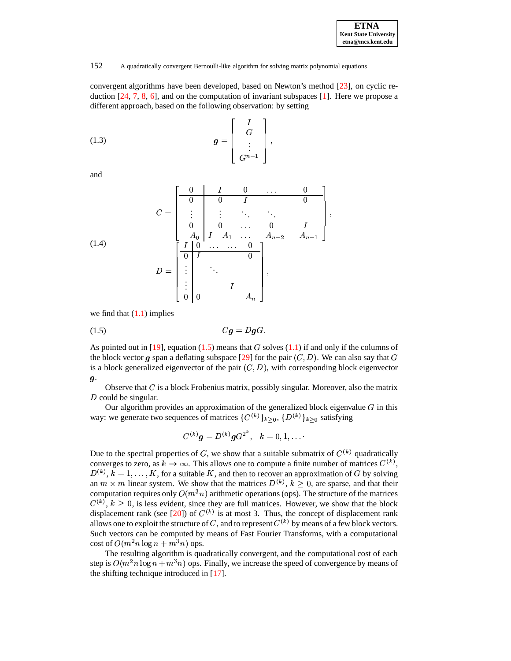| <b>ETNA</b>                  |
|------------------------------|
| <b>Kent State University</b> |
| etna@mcs.kent.edu            |

## 152 A quadratically convergent Bernoulli-like algorithm for solving matrix polynomial equations

convergent algorithms have been developed, based on Newton's method [\[23\]](#page-16-5), on cyclic reduction [\[24,](#page-16-6) [7,](#page-15-0) [8,](#page-15-1) [6\]](#page-15-2), and on the computation of invariant subspaces [\[1\]](#page-15-3). Here we propose a different approach, based on the following observation: by setting

<span id="page-1-2"></span>
$$
(1.3) \t\t g = \begin{bmatrix} I \\ G \\ \vdots \\ G^{n-1} \end{bmatrix},
$$

and

<span id="page-1-1"></span>
$$
C = \begin{bmatrix} 0 & I & 0 & \cdots & 0 \\ 0 & 0 & I & & 0 \\ \vdots & \vdots & \ddots & \ddots & \vdots \\ 0 & 0 & \cdots & 0 & I \\ -A_0 & I - A_1 & \cdots & -A_{n-2} & -A_{n-1} \end{bmatrix},
$$
  
(1.4)  

$$
D = \begin{bmatrix} I & 0 & \cdots & 0 \\ 0 & I & & 0 \\ \vdots & \ddots & & 0 \\ \vdots & & \ddots & & 1 \\ 0 & 0 & & A_n \end{bmatrix},
$$

<span id="page-1-0"></span>we find that  $(1.1)$  implies

$$
(1.5) \tCg = DgG.
$$

As pointed out in [\[19\]](#page-16-7), equation [\(1.5\)](#page-1-0) means that  $G$  solves [\(1.1\)](#page-0-1) if and only if the columns of the block vector g span a deflating subspace [\[29\]](#page-16-8) for the pair  $(C, D)$ . We can also say that G is a block generalized eigenvector of the pair  $(C, D)$ , with corresponding block eigenvector  $\boldsymbol{g}$ .

Observe that  $C$  is a block Frobenius matrix, possibly singular. Moreover, also the matrix  $D$  could be singular.

Our algorithm provides an approximation of the generalized block eigenvalue  $G$  in this way: we generate two sequences of matrices  $\{C^{(k)}\}_{k>0}, \{D^{(k)}\}_{k>0}$  satisfying

$$
C^{(k)}{\bm g} = D^{(k)}{\bm g} G^{2^k}, \ \ \, k=0,1,\ldots.
$$

Due to the spectral properties of G, we show that a suitable submatrix of  $C^{(k)}$  quadratically converges to zero, as  $k \to \infty$ . This allows one to compute a finite number of matrices  $C^{(k)}$ ,  $D^{(k)}$ ,  $k = 1, ..., K$ , for a suitable K, and then to recover an approximation of G by solving an  $m \times m$  linear system. We show that the matrices  $D^{(k)}$ ,  $k \geq 0$ , are sparse, and that their computation requires only  $O(m^3n)$  arithmetic operations (ops). The structure of the matrices  $C^{(k)}$ ,  $k \geq 0$ , is less evident, since they are full matrices. However, we show that the block displacement rank (see [\[20\]](#page-16-9)) of  $C^{(k)}$  is at most 3. Thus, the concept of displacement rank allows one to exploit the structure of C, and to represent  $C^{(k)}$  by means of a few block vectors. Such vectors can be computed by means of Fast Fourier Transforms, with a computational cost of  $O(m^2n \log n + m^3n)$  ops.

The resulting algorithm is quadratically convergent, and the computational cost of each step is  $O(m^2n \log n + m^3n)$  ops. Finally, we increase the speed of convergence by means of the shifting technique introduced in [\[17\]](#page-16-10).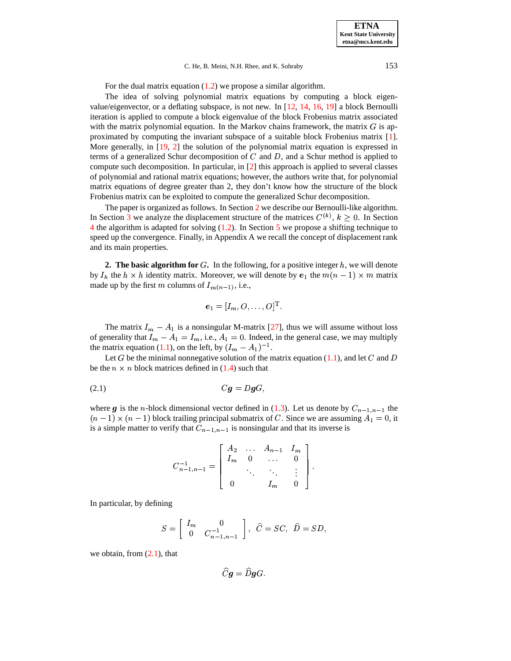#### C. He, B. Meini, N.H. Rhee, and K. Sohraby 153

For the dual matrix equation [\(1.2\)](#page-0-0) we propose a similar algorithm.

The idea of solving polynomial matrix equations by computing a block eigenvalue/eigenvector, or a deflating subspace, is not new. In [\[12,](#page-15-4) [14,](#page-15-5) [16,](#page-16-11) [19\]](#page-16-7) a block Bernoulli iteration is applied to compute a block eigenvalue of the block Frobenius matrix associated with the matrix polynomial equation. In the Markov chains framework, the matrix  $G$  is approximated by computing the invariant subspace of a suitable block Frobenius matrix [\[1\]](#page-15-3). More generally, in [\[19,](#page-16-7) [2\]](#page-15-6) the solution of the polynomial matrix equation is expressed in terms of a generalized Schur decomposition of  $C$  and  $D$ , and a Schur method is applied to compute such decomposition. In particular, in [\[2\]](#page-15-6) this approach is applied to several classes of polynomial and rational matrix equations; however, the authors write that, for polynomial matrix equations of degree greater than 2, they don't know how the structure of the block Frobenius matrix can be exploited to compute the generalized Schur decomposition.

The paper is organized as follows. In Section [2](#page-2-0) we describe our Bernoulli-like algorithm. In Section [3](#page-8-0) we analyze the displacement structure of the matrices  $C^{(k)}$ ,  $k \geq 0$ . In Section [4](#page-9-0) the algorithm is adapted for solving [\(1.2\)](#page-0-0). In Section [5](#page-10-0) we propose a shifting technique to speed up the convergence. Finally, in Appendix A we recall the concept of displacement rank and its main properties.

<span id="page-2-0"></span>**2.** The basic algorithm for  $G$ . In the following, for a positive integer  $h$ , we will denote by  $I_h$  the  $h \times h$  identity matrix. Moreover, we will denote by  $e_1$  the  $m(n-1) \times m$  matrix made up by the first m columns of  $I_{m(n-1)}$ , i.e.,

$$
\boldsymbol{e}_1=[I_m,O,\ldots,O]^{\mathrm{T}}.
$$

The matrix  $I_m - A_1$  is a nonsingular M-matrix [\[27\]](#page-16-0), thus we will assume without loss of generality that  $I_m - A_1 = I_m$ , i.e.,  $A_1 = 0$ . Indeed, in the general case, we may multiply the metrix equation (1.1) on the left by  $(I_1, A_1)$  -1 the matrix equation [\(1.1\)](#page-0-1), on the left, by  $(I_m - A_1)^{-1}$ .

Let G be the minimal nonnegative solution of the matrix equation [\(1.1\)](#page-0-1), and let C and D be the  $n \times n$  block matrices defined in [\(1.4\)](#page-1-1) such that

$$
(2.1) \tCg = DgG,
$$

where g is the *n*-block dimensional vector defined in [\(1.3\)](#page-1-2). Let us denote by  $C_{n-1,n-1}$  the  $(n-1) \times (n-1)$  block trailing principal submatrix of C. Since we are assuming  $A_1 = 0$ , it is a simple matter to verify that C. is a simple matter to verify that  $C_{n-1,n-1}$  is nonsingular and that its inverse is

<span id="page-2-1"></span>
$$
C_{n-1,n-1}^{-1} = \left[ \begin{array}{cccc} A_2 & \dots & A_{n-1} & I_m \\ I_m & 0 & \dots & 0 \\ & \ddots & \ddots & \vdots \\ 0 & I_m & 0 \end{array} \right].
$$

In particular, by defining

$$
S=\left[\begin{array}{cc}I_m&0\\0&C_{n-1,n-1}^{-1}\end{array}\right],\ \ \widehat C=SC,\ \ \widehat D=SD,
$$

we obtain, from  $(2.1)$ , that

$$
Cg=DgG.
$$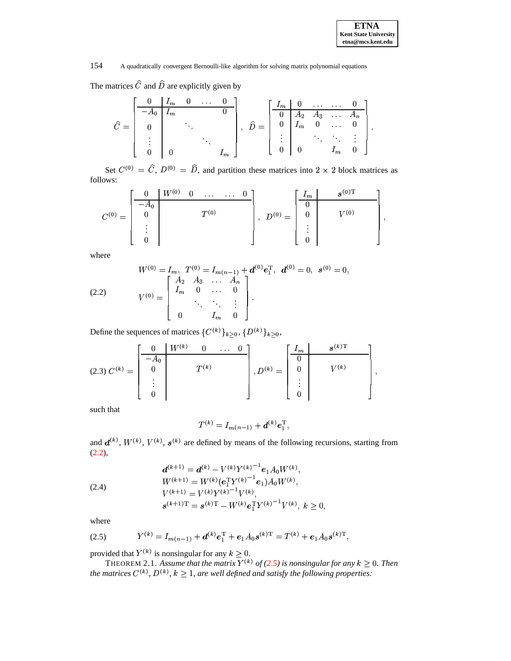The matrices  $C$  and  $D$  are explicitly given by

$$
\widehat{C} = \begin{bmatrix}\n0 & I_m & 0 & \dots & 0 \\
-A_0 & I_m & & & \\
0 & & \ddots & & \\
\vdots & & & \ddots & \\
0 & & 0 & & I_m\n\end{bmatrix}, \quad\n\widehat{D} = \begin{bmatrix}\nI_m & 0 & \dots & \dots & 0 \\
0 & A_2 & A_3 & \dots & A_n \\
0 & I_m & 0 & \dots & 0 \\
\vdots & & & \ddots & \ddots & \vdots \\
0 & 0 & & I_m & 0\n\end{bmatrix}.
$$

Set  $C^{(0)} = C$ ,  $D^{(0)} = D$ , and partition these matrices into  $2 \times 2$  block matrices as follows:

$$
C^{(0)} = \begin{bmatrix} 0 & W^{(0)} & 0 & \dots & \dots & 0 \\ -A_0 & & & & \\ 0 & & & & \\ \vdots & & & & \\ 0 & & & & \end{bmatrix}, \ D^{(0)} = \begin{bmatrix} I_m & & s^{(0)T} \\ 0 & & & \\ 0 & & V^{(0)} \\ \vdots & & & \\ 0 & & & \end{bmatrix},
$$

where

<span id="page-3-0"></span>(2.2) 
$$
W^{(0)} = I_m, T^{(0)} = I_{m(n-1)} + d^{(0)} e_1^{\mathrm{T}}, d^{(0)} = 0, s^{(0)} = 0,
$$

$$
V^{(0)} = \begin{bmatrix} A_2 & A_3 & \dots & A_n \\ I_m & 0 & \dots & 0 \\ & \ddots & \ddots & \vdots \\ 0 & & I_m & 0 \end{bmatrix}.
$$

Define the sequences of matrices  $\{C^{(k)}\}_{k\geq 0}, \{D^{(k)}\}_{k\geq 0},$ 

$$
(2.3) \ C^{(k)} = \begin{bmatrix} 0 & W^{(k)} & 0 & \dots & 0 \\ -A_0 & & & \\ 0 & & & \\ \vdots & & & \\ 0 & & & \end{bmatrix}, D^{(k)} = \begin{bmatrix} I_m & & & s^{(k)\mathrm{T}} \\ 0 & & & \\ \vdots & & & \\ 0 & & & \\ 0 & & & \end{bmatrix},
$$

such that

$$
T^{(k)} = I_{m(n-1)} + \boldsymbol{d}^{(k)} \boldsymbol{e}_1^{\mathrm{T}},
$$

and  $d^{(k)}$ ,  $W^{(k)}$ ,  $V^{(k)}$ ,  $s^{(k)}$  are defined by means of the following recursions, starting from [\(2.2\)](#page-3-0),

<span id="page-3-2"></span>(2.4)  
\n
$$
d^{(k+1)} = d^{(k)} - V^{(k)} Y^{(k)}^{-1} e_1 A_0 W^{(k)},
$$
\n
$$
W^{(k+1)} = W^{(k)} (e_1^{\mathrm{T}} Y^{(k)}^{-1} e_1) A_0 W^{(k)},
$$
\n
$$
V^{(k+1)} = V^{(k)} Y^{(k)}^{-1} V^{(k)},
$$
\n
$$
s^{(k+1)\mathrm{T}} = s^{(k)\mathrm{T}} - W^{(k)} e_1^{\mathrm{T}} Y^{(k)}^{-1} V^{(k)}, k \ge 0,
$$

<span id="page-3-1"></span>where

(2.5) 
$$
Y^{(k)} = I_{m(n-1)} + d^{(k)}e_1^{\mathrm{T}} + e_1 A_0 s^{(k)\mathrm{T}} = T^{(k)} + e_1 A_0 s^{(k)\mathrm{T}},
$$
 provided that  $Y^{(k)}$  is nonsingular for any  $k \ge 0$ .

THEOREM 2.1. Assume that the matrix  $Y^{(k)}$  of [\(2.5\)](#page-3-1) is nonsingular for any  $k \geq 0$ . Then *the matrices*  $C^{(k)}$ *,*  $D^{(k)}$ *,*  $k \geq 1$ *, are well defined and satisfy the following properties:*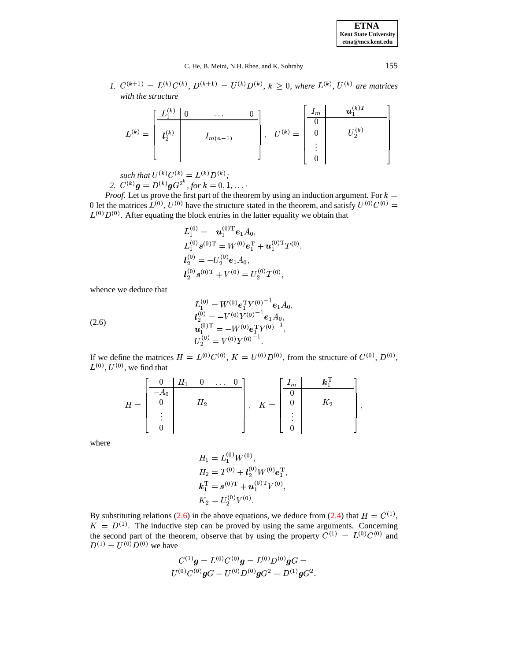*1.*  $C^{(k+1)} = L^{(k)}C^{(k)}$ ,  $D^{(k+1)} = U^{(k)}D^{(k)}$ ,  $k \ge 0$ , where  $L^{(k)}$ ,  $U^{(k)}$  are matrices *with the structure*

|             | r(k) | $\cdots$     |           | $\frac{1}{m}$        | $\boldsymbol{u}_1^{(k)T}$ |
|-------------|------|--------------|-----------|----------------------|---------------------------|
| $L^{(k)} =$ | (k)  |              | $U^{(k)}$ | 0                    | (k)                       |
|             | しっ   | $I_{m(n-1)}$ | $=$       | ٠                    |                           |
|             |      |              |           | $\bullet$<br>$\cdot$ |                           |

 $such that U^{(k)}C^{(k)} = L^{(k)}D^{(k)};$ 2.  $C^{(k)}g = D^{(k)}gG^{2^k}$ , for  $k = 0, 1, \ldots$ 

*Proof.* Let us prove the first part of the theorem by using an induction argument. For  $k =$ 0 let the matrices  $L^{(0)}$ ,  $U^{(0)}$  have the structure stated in the theorem, and satisfy  $U^{(0)}C^{(0)} =$  $L^{(0)}D^{(0)}$ . After equating the block entries in the latter equality we obtain that

$$
L_1^{(0)} = -\mathbf{u}_1^{(0)T} \mathbf{e}_1 A_0,
$$
  
\n
$$
L_1^{(0)} \mathbf{s}^{(0)T} = W^{(0)} \mathbf{e}_1^T + \mathbf{u}_1^{(0)T} T^{(0)},
$$
  
\n
$$
l_2^{(0)} = -U_2^{(0)} \mathbf{e}_1 A_0,
$$
  
\n
$$
l_2^{(0)} \mathbf{s}^{(0)T} + V^{(0)} = U_2^{(0)} T^{(0)},
$$

whence we deduce that

<span id="page-4-0"></span>(2.6) 
$$
L_1^{(0)} = W^{(0)} e_1^{\mathrm{T}} Y^{(0)-1} e_1 A_0,
$$

$$
l_2^{(0)} = -V^{(0)} Y^{(0)-1} e_1 A_0,
$$

$$
u_1^{(0)\mathrm{T}} = -W^{(0)} e_1^{\mathrm{T}} Y^{(0)-1},
$$

$$
U_2^{(0)} = V^{(0)} Y^{(0)-1}.
$$

If we define the matrices  $H = L^{(0)}C^{(0)}$ ,  $K = U^{(0)}D^{(0)}$ , from the structure of  $C^{(0)}$ ,  $D^{(0)}$ ,  $L^{(0)}$ ,  $U^{(0)}$ , we find that

$$
H = \begin{bmatrix} 0 & H_1 & 0 & \dots & 0 \\ -A_0 & & & & \\ 0 & & H_2 & & \\ & \vdots & & & \\ 0 & & & & \end{bmatrix}, \quad K = \begin{bmatrix} I_m & & & k_1^T & & \\ 0 & & & & \\ 0 & & & K_2 & \\ & \vdots & & & \\ 0 & & & & \end{bmatrix},
$$

where

$$
H_1 = L_1^{(0)} W^{(0)},
$$
  
\n
$$
H_2 = T^{(0)} + l_2^{(0)} W^{(0)} e_1^{\mathrm{T}},
$$
  
\n
$$
k_1^{\mathrm{T}} = s^{(0)\mathrm{T}} + u_1^{(0)\mathrm{T}} V^{(0)},
$$
  
\n
$$
K_2 = U_2^{(0)} V^{(0)}.
$$

By substituting relations [\(2.6\)](#page-4-0) in the above equations, we deduce from [\(2.4\)](#page-3-2) that  $H = C^{(1)}$ ,  $K = D^{(1)}$ . The inductive step can be proved by using the same arguments. Concerning the second part of the theorem, observe that by using the property  $C^{(1)} = L^{(0)}C^{(0)}$  and  $D^{(1)} = U^{(0)} D^{(0)}$  we have

$$
\begin{gathered}C^{(1)}\bm{g}=L^{(0)}C^{(0)}\bm{g}=L^{(0)}D^{(0)}\bm{g}G=\\U^{(0)}C^{(0)}\bm{g}G=U^{(0)}D^{(0)}\bm{g}G^2=D^{(1)}\bm{g}G^2.\end{gathered}
$$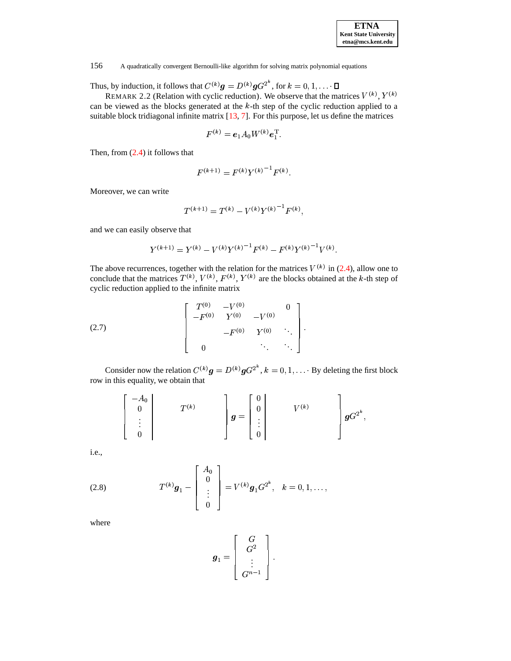

<span id="page-5-1"></span>Thus, by induction, it follows that  $C^{(k)}g = D^{(k)}gG^{2^k}$ , for  $k = 0, 1, \dots$ 

REMARK 2.2 (Relation with cyclic reduction). We observe that the matrices  $V^{(k)}$ ,  $Y^{(k)}$ can be viewed as the blocks generated at the  $k$ -th step of the cyclic reduction applied to a suitable block tridiagonal infinite matrix [\[13,](#page-15-7) [7\]](#page-15-0). For this purpose, let us define the matrices

$$
F^{(k)} = e_1 A_0 W^{(k)} e_1^{\mathrm{T}}.
$$

Then, from [\(2.4\)](#page-3-2) it follows that

$$
F^{(k+1)} = F^{(k)} Y^{(k)}{}^{-1} F^{(k)}.
$$

Moreover, we can write

$$
T^{(k+1)} = T^{(k)} - V^{(k)}Y^{(k)}^{-1}F^{(k)}.
$$

and we can easily observe that

$$
Y^{(k+1)} = Y^{(k)} - V^{(k)} Y^{(k)}^{-1} F^{(k)} - F^{(k)} Y^{(k)}^{-1} V^{(k)}.
$$

The above recurrences, together with the relation for the matrices  $V^{(k)}$  in [\(2.4\)](#page-3-2), allow one to conclude that the matrices  $T^{(k)}$ ,  $V^{(k)}$ ,  $F^{(k)}$ ,  $Y^{(k)}$  are the blocks obtained at the k-th step of cyclic reduction applied to the infinite matrix

<span id="page-5-2"></span>(2.7) 
$$
\begin{bmatrix} T^{(0)} & -V^{(0)} & 0 \\ -F^{(0)} & Y^{(0)} & -V^{(0)} \\ & & -F^{(0)} & Y^{(0)} & \ddots \\ 0 & & & \ddots & \ddots \end{bmatrix}.
$$

Consider now the relation  $C^{(k)}\mathbf{g} = D^{(k)}\mathbf{g}G^{2^k}$ ,  $k = 0, 1, \dots$  By deleting the first block row in this equality, we obtain that

$$
\begin{bmatrix} -A_0 \\ 0 \\ \vdots \\ 0 \end{bmatrix} \qquad T^{(k)} \qquad \qquad \begin{bmatrix} 0 \\ 0 \\ \vdots \\ 0 \end{bmatrix} \qquad V^{(k)} \qquad \qquad \begin{bmatrix} 0 \\ 0 \\ \vdots \\ 0 \end{bmatrix} gG^{2^k},
$$

i.e.,

<span id="page-5-0"></span>(2.8) 
$$
T^{(k)}\mathbf{g}_1 - \begin{bmatrix} A_0 \\ 0 \\ \vdots \\ 0 \end{bmatrix} = V^{(k)}\mathbf{g}_1 G^{2^k}, \quad k = 0, 1, \dots,
$$

where

$$
\boldsymbol{g}_1 = \left[ \begin{array}{c} G \\ G^2 \\ \vdots \\ G^{n-1} \end{array} \right].
$$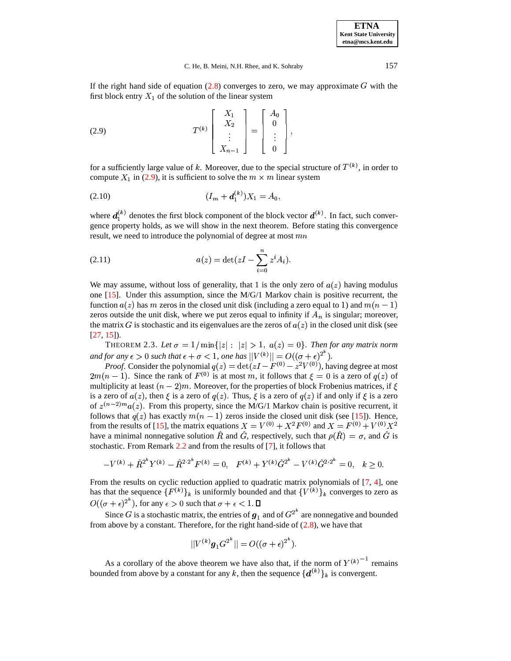If the right hand side of equation  $(2.8)$  converges to zero, we may approximate G with the first block entry  $X_1$  of the solution of the linear system

<span id="page-6-0"></span>(2.9) 
$$
T^{(k)}\begin{bmatrix} X_1 \\ X_2 \\ \vdots \\ X_{n-1} \end{bmatrix} = \begin{bmatrix} A_0 \\ 0 \\ \vdots \\ 0 \end{bmatrix},
$$

for a sufficiently large value of k. Moreover, due to the special structure of  $T^{(k)}$ , in order to compute  $X_1$  in [\(2.9\)](#page-6-0), it is sufficient to solve the  $m \times m$  linear system

 $\lambda$ 

<span id="page-6-1"></span>& 7 ( (2.10)

where  $d_1^{(k)}$  denotes the first block component of the block vector  $d^{(k)}$ . In fact, such conver gence property holds, as we will show in the next theorem. Before stating this convergence result, we need to introduce the polynomial of degree at most  $mn$ 

<span id="page-6-2"></span>(2.11) 
$$
a(z) = \det(zI - \sum_{i=0}^{n} z^{i} A_{i}).
$$

We may assume, without loss of generality, that 1 is the only zero of  $a(z)$  having modulus one  $[15]$ . Under this assumption, since the M/G/1 Markov chain is positive recurrent, the function  $a(z)$  has m zeros in the closed unit disk (including a zero equal to 1) and  $m(n-1)$ zeros outside the unit disk, where we put zeros equal to infinity if  $A_n$  is singular; moreover, the matrix G is stochastic and its eigenvalues are the zeros of  $a(z)$  in the closed unit disk (see [\[27,](#page-16-0) [15\]](#page-16-12)).

<span id="page-6-3"></span>THEOREM 2.3. Let  $\sigma = 1/\min\{|z| : |z| > 1, a(z) = 0\}$ . Then for any matrix norm *and for any*  $\epsilon > 0$  *such that*  $\epsilon + \sigma < 1$ *, one has*  $||V^{(k)}|| = O((\sigma + \epsilon)^{2^k})$ *.* 

*Proof.* Consider the polynomial  $q(z) = \det(zI - F^{(0)} - z^2V^{(0)})$ , having degree at most  $2m(n-1)$ . Since the rank of  $F^{(0)}$  is at most m, it follows that  $\xi = 0$  is a zero of  $q(z)$  of multiplicity at least  $(n-2)m$ . Moreover, for the properties of block Frobenius matrices, if  $\xi$ is a zero of  $a(z)$ , then  $\xi$  is a zero of  $q(z)$ . Thus,  $\xi$  is a zero of  $q(z)$  if and only if  $\xi$  is a zero of  $z^{(n-2)m}a(z)$ . From this property, since the M/G/1 Markov chain is positive recurrent, it follows that  $q(z)$  has exactly  $m(n-1)$  zeros inside the closed unit disk (see [\[15\]](#page-16-12)). Hence, from the results of [\[15\]](#page-16-12), the matrix equations  $X = V^{(0)} + X^2 F^{(0)}$  and  $X = F^{(0)} + V^{(0)} X^2$ have a minimal nonnegative solution R and G, respectively, such that  $\rho(R) = \sigma$ , and G is stochastic. From Remark [2.2](#page-5-1) and from the results of [\[7\]](#page-15-0), it follows that

$$
-V^{(k)} + \hat{R}^{2^k} Y^{(k)} - \hat{R}^{2 \cdot 2^k} F^{(k)} = 0, \quad F^{(k)} + Y^{(k)} \hat{G}^{2^k} - V^{(k)} \hat{G}^{2 \cdot 2^k} = 0, \quad k \ge 0.
$$

From the results on cyclic reduction applied to quadratic matrix polynomials of [\[7,](#page-15-0) [4\]](#page-15-8), one has that the sequence  $\{F^{(k)}\}_k$  is uniformly bounded and that  $\{V^{(k)}\}_k$  converges to zero as  $O((\sigma + \epsilon)^{2^{\kappa}})$ , for any  $\epsilon > 0$  such that  $\sigma + \epsilon < 1$ .  $\square$ 

Since G is a stochastic matrix, the entries of  $g_1$  and of  $G^{2^{\infty}}$  are nonnegative and bounded from above by a constant. Therefore, for the right hand-side of  $(2.8)$ , we have that

$$
||V^{(k)}g_1G^{2^k}|| = O((\sigma + \epsilon)^{2^k}).
$$

As a corollary of the above theorem we have also that, if the norm of  $Y^{(k)}$ <sup>-1</sup> remains bounded from above by a constant for any k, then the sequence  $\{d^{(k)}\}_k$  is convergent.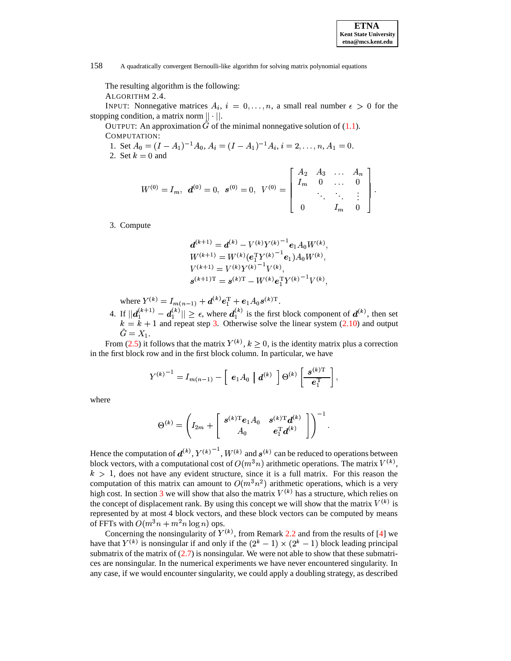

The resulting algorithm is the following:

ALGORITHM 2.4.

INPUT: Nonnegative matrices  $A_i$ ,  $i = 0, \ldots, n$ , a small real number  $\epsilon > 0$  for the stopping condition, a matrix norm  $||\cdot||.$ 

OUTPUT: An approximation  $\tilde{G}$  of the minimal nonnegative solution of [\(1.1\)](#page-0-1). COMPUTATION:

1. Set  $A_0 = (I - A_1)^{-1} A_0$ , A. 2. Set  $k = 0$  and  $\lambda^{-1}A_0, A_i = (I-A_1)^{-1}A_i, i =$  $-1A_i, i = 2, \ldots, n, A_1 = 0.$ 

$$
W^{(0)} = I_m, \ \mathbf{d}^{(0)} = 0, \ \mathbf{s}^{(0)} = 0, \ \ V^{(0)} = \begin{bmatrix} A_2 & A_3 & \dots & A_n \\ I_m & 0 & \dots & 0 \\ & \ddots & \ddots & \vdots \\ 0 & I_m & 0 \end{bmatrix}.
$$

<span id="page-7-0"></span>3. Compute

$$
d^{(k+1)} = d^{(k)} - V^{(k)} Y^{(k)}^{-1} e_1 A_0 W^{(k)},
$$
  
\n
$$
W^{(k+1)} = W^{(k)} (e_1^{\mathrm{T}} Y^{(k)}^{-1} e_1) A_0 W^{(k)},
$$
  
\n
$$
V^{(k+1)} = V^{(k)} Y^{(k)}^{-1} V^{(k)},
$$
  
\n
$$
s^{(k+1)\mathrm{T}} = s^{(k)\mathrm{T}} - W^{(k)} e_1^{\mathrm{T}} Y^{(k)}^{-1} V^{(k)},
$$

where  $Y^{(k)} = I_{m(n-1)} + d^{(k)} e_1^{\mathrm{T}} + e_1 A_0 s^{(k) \mathrm{T}}$ . .

4. If  $||d_1^{(k+1)} - d_1^{(k)}|| \ge \epsilon$ , where  $d_1^{(k)}$  is the first block c  $\|d_1^{(k+1)} - d_1^{(k)}\| \ge \epsilon$ , where  $\left|\frac{k}{1}\right| \geq \epsilon$ , where  $\left|\frac{d}{1}\right|^{(k)}$  is the first  $i_{1}^{(k)}$  is the first block component of  $d^{(k)}$ , then set<br>corrected solve the linear system (2.10) and output  $k = k + 1$  and repeat step [3.](#page-7-0) Otherwise solve the linear system [\(2.10\)](#page-6-1) and output  $\tilde{G}=X_1.$ 

From [\(2.5\)](#page-3-1) it follows that the matrix  $Y^{(k)}$ ,  $k \geq 0$ , is the identity matrix plus a correction in the first block row and in the first block column. In particular, we have

$$
Y^{(k)^{-1}} = I_{m(n-1)} - \left[ e_1 A_0 \mid \boldsymbol{d}^{(k)} \right] \Theta^{(k)} \left[ \frac{\boldsymbol{s}^{(k)T}}{\boldsymbol{e}_1^T} \right],
$$

where

$$
\Theta^{(k)} = \left(I_{2m} + \left[ \begin{array}{cc} s^{(k)\text{T}}e_1 A_0 & s^{(k)\text{T}} d^{(k)} \\ A_0 & e_1^\text{T} d^{(k)} \end{array} \right] \right)^{-1}.
$$

Hence the computation of  $d^{(k)}$ ,  $Y^{(k)}$  –  $^1$ ,  $W^{(k)}$  and  $s^{(k)}$  can be reduced to operations between block vectors, with a computational cost of  $O(m^3n)$  arithmetic operations. The matrix  $V^{(k)}$ ,  $k > 1$ , does not have any evident structure, since it is a full matrix. For this reason the computation of this matrix can amount to  $O(m^3n^2)$  arithmetic operations, which is a very high cost. In section [3](#page-8-0) we will show that also the matrix  $V^{(k)}$  has a structure, which relies on the concept of displacement rank. By using this concept we will show that the matrix  $V^{(k)}$  is represented by at most 4 block vectors, and these block vectors can be computed by means of FFTs with  $O(m^3n + m^2n \log n)$  ops.

Concerning the nonsingularity of  $Y^{(k)}$ , from Remark [2.2](#page-5-1) and from the results of [\[4\]](#page-15-8) we have that  $Y^{(k)}$  is nonsingular if and only if the  $(2<sup>k</sup> - 1) \times (2<sup>k</sup> - 1)$  block leading principal submatrix of the matrix of  $(2.7)$  is nonsingular. We were not able to show that these submatrices are nonsingular. In the numerical experiments we have never encountered singularity. In any case, if we would encounter singularity, we could apply a doubling strategy, as described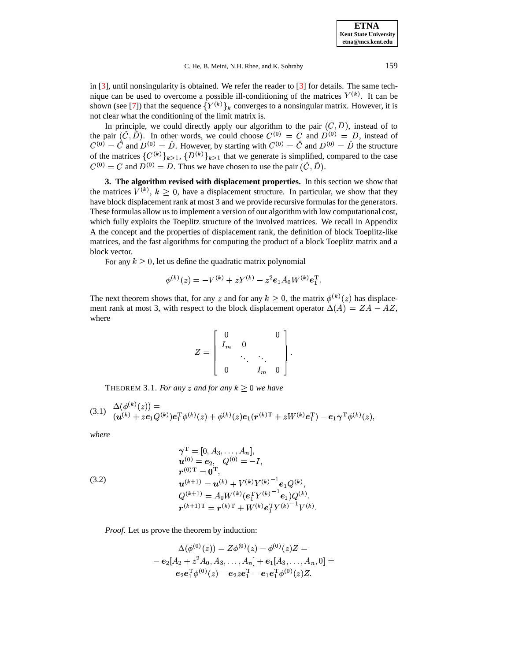in  $[3]$ , until nonsingularity is obtained. We refer the reader to  $[3]$  for details. The same technique can be used to overcome a possible ill-conditioning of the matrices  $Y^{(k)}$ . It can be shown (see [\[7\]](#page-15-0)) that the sequence  ${Y^{(k)}}_k$  converges to a nonsingular matrix. However, it is not clear what the conditioning of the limit matrix is.

In principle, we could directly apply our algorithm to the pair  $(C, D)$ , instead of to the pair  $(C, D)$ . In other words, we could choose  $C^{(0)} = C$  and  $D^{(0)} = D$ , instead of  $C^{(0)} = C$  and  $D^{(0)} = D$ . However, by starting with  $C^{(0)} = C$  and  $D^{(0)} = D$  the structure of the matrices  $\{C^{(k)}\}_{k>1}$ ,  $\{D^{(k)}\}_{k>1}$  that we generate is simplified, compared to the case  $C^{(0)} = C$  and  $D^{(0)} = D$ . Thus we have chosen to use the pair  $(C, D)$ .

<span id="page-8-0"></span>**3. The algorithm revised with displacement properties.** In this section we show that the matrices  $V^{(k)}$ ,  $k \geq 0$ , have a displacement structure. In particular, we show that they have block displacement rank at most 3 and we provide recursive formulas for the generators. These formulas allow usto implement a version of our algorithm with low computational cost, which fully exploits the Toeplitz structure of the involved matrices. We recall in Appendix A the concept and the properties of displacement rank, the definition of block Toeplitz-like matrices, and the fast algorithms for computing the product of a block Toeplitz matrix and a block vector.

For any  $k \geq 0$ , let us define the quadratic matrix polynomial

$$
\phi^{(k)}(z) = -V^{(k)} + zY^{(k)} - z^2 e_1 A_0 W^{(k)} e_1^{\mathrm{T}}.
$$

The next theorem shows that, for any z and for any  $k \geq 0$ , the matrix  $\phi^{(k)}(z)$  has displacement rank at most 3, with respect to the block displacement operator  $\Delta(A) = ZA - AZ$ , where

$$
Z = \left[ \begin{array}{ccc} 0 & & 0 \\ I_m & 0 & \\ & \ddots & \ddots \\ 0 & & I_m & 0 \end{array} \right].
$$

THEOREM 3.1. *For any z and for any*  $k \geq 0$  *we have* 

<span id="page-8-1"></span>
$$
(3.1) \quad \frac{\Delta(\phi^{(k)}(z))}{(\mathbf{u}^{(k)}+z\mathbf{e}_1Q^{(k)})\mathbf{e}_1^{\mathrm{T}}\phi^{(k)}(z)+\phi^{(k)}(z)\mathbf{e}_1(\mathbf{r}^{(k)\mathrm{T}}+zW^{(k)}\mathbf{e}_1^{\mathrm{T}})-\mathbf{e}_1\boldsymbol{\gamma}^{\mathrm{T}}\phi^{(k)}(z),
$$

*where*

<span id="page-8-2"></span>(3.2)  
\n
$$
\gamma^{\mathrm{T}} = [0, A_3, \dots, A_n],
$$
\n
$$
\mathbf{u}^{(0)} = \mathbf{e}_2, \quad Q^{(0)} = -I,
$$
\n
$$
\mathbf{r}^{(0)\mathrm{T}} = \mathbf{0}^{\mathrm{T}},
$$
\n
$$
\mathbf{u}^{(k+1)} = \mathbf{u}^{(k)} + V^{(k)}Y^{(k)^{-1}}\mathbf{e}_1Q^{(k)},
$$
\n
$$
Q^{(k+1)} = A_0W^{(k)}(\mathbf{e}_1^{\mathrm{T}}Y^{(k)^{-1}}\mathbf{e}_1)Q^{(k)},
$$
\n
$$
\mathbf{r}^{(k+1)\mathrm{T}} = \mathbf{r}^{(k)\mathrm{T}} + W^{(k)}\mathbf{e}_1^{\mathrm{T}}Y^{(k)^{-1}}V^{(k)}.
$$

*Proof*. Let us prove the theorem by induction:

$$
\Delta(\phi^{(0)}(z)) = Z\phi^{(0)}(z) - \phi^{(0)}(z)Z =
$$
  
-  $\mathbf{e}_2[A_2 + z^2 A_0, A_3, \dots, A_n] + \mathbf{e}_1[A_3, \dots, A_n, 0] =$   
 $\mathbf{e}_2\mathbf{e}_1^T\phi^{(0)}(z) - \mathbf{e}_2z\mathbf{e}_1^T - \mathbf{e}_1\mathbf{e}_1^T\phi^{(0)}(z)Z.$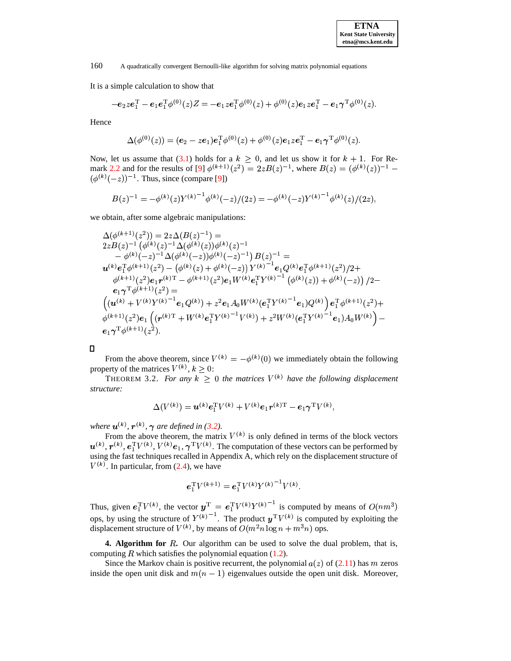It is a simple calculation to show that

$$
-e_2 z e_1^{\mathrm{T}} - e_1 e_1^{\mathrm{T}} \phi^{(0)}(z) Z = -e_1 z e_1^{\mathrm{T}} \phi^{(0)}(z) + \phi^{(0)}(z) e_1 z e_1^{\mathrm{T}} - e_1 \gamma^{\mathrm{T}} \phi^{(0)}(z).
$$

Hence

 $\mathcal{L}$ 

$$
\Delta(\phi^{(0)}(z)) = (e_2 - z e_1) e_1^{\mathrm{T}} \phi^{(0)}(z) + \phi^{(0)}(z) e_1 z e_1^{\mathrm{T}} - e_1 \gamma^{\mathrm{T}} \phi^{(0)}(z).
$$

Now, let us assume that [\(3.1\)](#page-8-1) holds for a  $k \geq 0$ , and let us show it for  $k + 1$ . For Re-mark [2.2](#page-5-1) and for the results of [\[9\]](#page-15-10)  $\phi^{(k+1)}(z^2) = 2zB(z)^{-1}$ , where  $B(z) = (\phi^{(k)}(z))^{-1}$  –  $(\phi^{(k)}(-z))^{-1}$ . Thus, since (compare [\[9\]](#page-15-10)) 

$$
B(z)^{-1} = -\phi^{(k)}(z)Y^{(k)^{-1}}\phi^{(k)}(-z)/(2z) = -\phi^{(k)}(-z)Y^{(k)^{-1}}\phi^{(k)}(z)/(2z),
$$

we obtain, after some algebraic manipulations:

$$
\Delta(\phi^{(k+1)}(z^2)) = 2z\Delta(B(z)^{-1}) =
$$
\n
$$
2zB(z)^{-1}(\phi^{(k)}(z)^{-1}\Delta(\phi^{(k)}(z))\phi^{(k)}(z)^{-1}
$$
\n
$$
- \phi^{(k)}(-z)^{-1}\Delta(\phi^{(k)}(-z))\phi^{(k)}(-z)^{-1})B(z)^{-1} =
$$
\n
$$
\mathbf{u}^{(k)}\mathbf{e}_1^{\mathrm{T}}\phi^{(k+1)}(z^2) - (\phi^{(k)}(z) + \phi^{(k)}(-z))Y^{(k)^{-1}}\mathbf{e}_1Q^{(k)}\mathbf{e}_1^{\mathrm{T}}\phi^{(k+1)}(z^2)/2 +
$$
\n
$$
\phi^{(k+1)}(z^2)\mathbf{e}_1\mathbf{r}^{(k)\mathrm{T}} - \phi^{(k+1)}(z^2)\mathbf{e}_1W^{(k)}\mathbf{e}_1^{\mathrm{T}}Y^{(k)^{-1}}(\phi^{(k)}(z)) + \phi^{(k)}(-z)) / 2 -
$$
\n
$$
\mathbf{e}_1\gamma^{\mathrm{T}}\phi^{(k+1)}(z^2) =
$$
\n
$$
\left((\mathbf{u}^{(k)} + V^{(k)}Y^{(k)^{-1}}\mathbf{e}_1Q^{(k)}) + z^2\mathbf{e}_1A_0W^{(k)}(\mathbf{e}_1^{\mathrm{T}}Y^{(k)^{-1}}\mathbf{e}_1)Q^{(k)}\right)\mathbf{e}_1^{\mathrm{T}}\phi^{(k+1)}(z^2) +
$$
\n
$$
\phi^{(k+1)}(z^2)\mathbf{e}_1\left((\mathbf{r}^{(k)\mathrm{T}} + W^{(k)}\mathbf{e}_1^{\mathrm{T}}Y^{(k)^{-1}}V^{(k)}) + z^2W^{(k)}(\mathbf{e}_1^{\mathrm{T}}Y^{(k)^{-1}}\mathbf{e}_1)A_0W^{(k)}\right) -
$$
\n
$$
\mathbf{e}_1\gamma^{\mathrm{T}}\phi^{(k+1)}(z^2).
$$

From the above theorem, since  $V^{(k)} = -\phi^{(k)}(0)$  we immediately obtain the following property of the matrices  $V^{(k)}$ ,  $k \geq 0$ :

THEOREM 3.2. For any  $k \geq 0$  the matrices  $V^{(k)}$  have the following displacement *structure:*

$$
\Delta(V^{(k)}) = \boldsymbol{u}^{(k)} \boldsymbol{e}_1^{\mathrm{T}} V^{(k)} + V^{(k)} \boldsymbol{e}_1 \boldsymbol{r}^{(k)\mathrm{T}} - \boldsymbol{e}_1 \boldsymbol{\gamma}^{\mathrm{T}} V^{(k)},
$$

*where*  $\mathbf{u}^{(k)}$ ,  $\mathbf{r}^{(k)}$ ,  $\boldsymbol{\gamma}$  are defined in [\(3.2\)](#page-8-2).

From the above theorem, the matrix  $V^{(k)}$  is only defined in terms of the block vectors  $\mathbf{u}^{(k)}$ ,  $\mathbf{r}^{(k)}$ ,  $\mathbf{e}_1^{\mathrm{T}} V^{(k)}$ ,  $V^{(k)}e_1$ ,  $\gamma^{\mathrm{T}} V^{(k)}$ . The computation of these vectors can be performed by using the fast techniques recalled in Appendix A, which rely on the displacement structure of  $V^{(k)}$ . In particular, from [\(2.4\)](#page-3-2), we have

$$
\bm{e}_1^{\rm T} V^{(k+1)} = \bm{e}_1^{\rm T} V^{(k)} Y^{(k)^{-1}} V^{(k)}.
$$

Thus, given  $e_1^T V^{(k)}$ , the vector  $y^T = e_1^T V^{(k)} Y^{(k)}$  is computed by means of  $O(nm^3)$ ops, by using the structure of  $Y^{(k)}$ . The product  $y^T V^{(k)}$  is computed by exploiting the displacement structure of  $V^{(k)}$ , by means of  $O(m^2n \log n + m^3n)$  ops.

<span id="page-9-0"></span>**4. Algorithm for** R. Our algorithm can be used to solve the dual problem, that is, computing  $R$  which satisfies the polynomial equation [\(1.2\)](#page-0-0).

Since the Markov chain is positive recurrent, the polynomial  $a(z)$  of [\(2.11\)](#page-6-2) has m zeros inside the open unit disk and  $m(n - 1)$  eigenvalues outside the open unit disk. Moreover,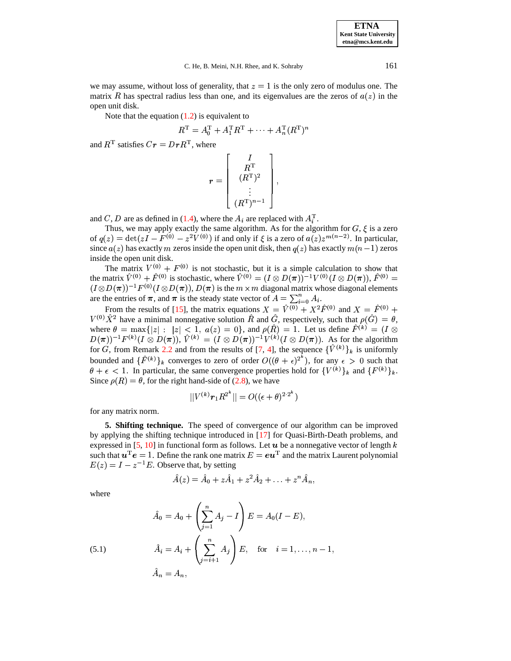we may assume, without loss of generality, that  $z = 1$  is the only zero of modulus one. The matrix R has spectral radius less than one, and its eigenvalues are the zeros of  $a(z)$  in the open unit disk.

Note that the equation  $(1.2)$  is equivalent to

$$
R^{\mathrm{T}} = A_0^{\mathrm{T}} + A_1^{\mathrm{T}} R^{\mathrm{T}} + \cdots + A_n^{\mathrm{T}} (R^{\mathrm{T}})^n
$$

and  $R<sup>T</sup>$  satisfies  $Cr = Dr R<sup>T</sup>$ , where

$$
\boldsymbol{r} = \left[\begin{array}{c} I \\ R^{\mathrm{T}} \\ (R^{\mathrm{T}})^2 \\ \vdots \\ (R^{\mathrm{T}})^{n-1} \end{array}\right],
$$

and C, D are as defined in [\(1.4\)](#page-1-1), where the  $A_i$  are replaced with  $A_i^{\mathrm{T}}$ .

Thus, we may apply exactly the same algorithm. As for the algorithm for  $G, \xi$  is a zero of  $q(z) = \det(zI - F^{(0)} - z^2V^{(0)})$  if and only if  $\xi$  is a zero of  $a(z)z^{m(n-2)}$ . In particular, since  $a(z)$  has exactly m zeros inside the open unit disk, then  $q(z)$  has exactly  $m(n-1)$  zeros inside the open unit disk.

The matrix  $V^{(0)} + F^{(0)}$  is not stochastic, but it is a simple calculation to show that the matrix  $V^{(0)} + F^{(0)}$  is stochastic, where  $V^{(0)} = (I \otimes D(\pi))^{-1} V^{(0)} (I \otimes D(\pi))$ ,  $F^{(0)} =$  $(I \otimes D(\pi))^{-1}F^{(0)}(I \otimes D(\pi)), D(\pi)$  is the  $m \times m$  diagonal matrix whose diagonal elements are the entries of  $\pi$ , and  $\pi$  is the steady state vector of  $A = \sum_{i=0}^{n} A_i$ . are the entries of  $\pi$ , and  $\pi$  is the steady state vector of  $A = \sum_{i=0}^{n} A_i$ .

From the results of [\[15\]](#page-16-12), the matrix equations  $X = V^{(0)} + X^2 F^{(0)}$  and  $X = F^{(0)} +$  $V^{(0)}X^2$  have a minimal nonnegative solution R and G, respectively, such that  $\rho(G) = \theta$ , where  $\theta = \max\{|z| : |z| < 1$ ,  $a(z) = 0\}$ , and  $\rho(R) = 1$ . Let us define  $F^{(k)} = (I \otimes$  $(D(\pi))^{-1}F^{(k)}(I\otimes D(\pi))$ ,  $V^{(k)} = (I\otimes D(\pi))^{-1}V^{(k)}(I\otimes D(\pi))$ . As for the algorithm for G, from Remark [2.2](#page-5-1) and from the results of [\[7,](#page-15-0) [4\]](#page-15-8), the sequence  $\{V^{(k)}\}_k$  is uniformly bounded and  $\{F^{(k)}\}_k$  converges to zero of order  $O((\theta + \epsilon)^{2^k})$ , for any  $\epsilon > 0$  such that  $\theta + \epsilon < 1$ . In particular, the same convergence properties hold for  $\{V^{(k)}\}_k$  and  $\{F^{(k)}\}_k$ . Since  $\rho(R) = \theta$ , for the right hand-side of [\(2.8\)](#page-5-0), we have

$$
||V^{(k)}{\bm r}_1 R^{2^k}|| = O((\epsilon + \theta)^{2 \cdot 2^k})
$$

for any matrix norm.

<span id="page-10-0"></span>**5. Shifting technique.** The speed of convergence of our algorithm can be improved by applying the shifting technique introduced in [\[17\]](#page-16-10) for Quasi-Birth-Death problems, and expressed in [\[5,](#page-15-11) [10\]](#page-15-12) in functional form as follows. Let  $u$  be a nonnegative vector of length k such that  $u^{\mathrm{T}}e = 1$ . Define the rank one matrix  $E = eu^{\mathrm{T}}$  and the matrix Laurent polynomial  $E(z) = I - z^{-1}E$ . Observe that, by setting

$$
\hat{A}(z) = \hat{A}_0 + z\hat{A}_1 + z^2\hat{A}_2 + \ldots + z^n\hat{A}_n,
$$

where

(5.1) 
$$
\hat{A}_0 = A_0 + \left(\sum_{j=1}^n A_j - I\right) E = A_0 (I - E),
$$

$$
\hat{A}_i = A_i + \left(\sum_{j=i+1}^n A_j\right) E, \text{ for } i = 1, ..., n-1,
$$

$$
\hat{A}_n = A_n,
$$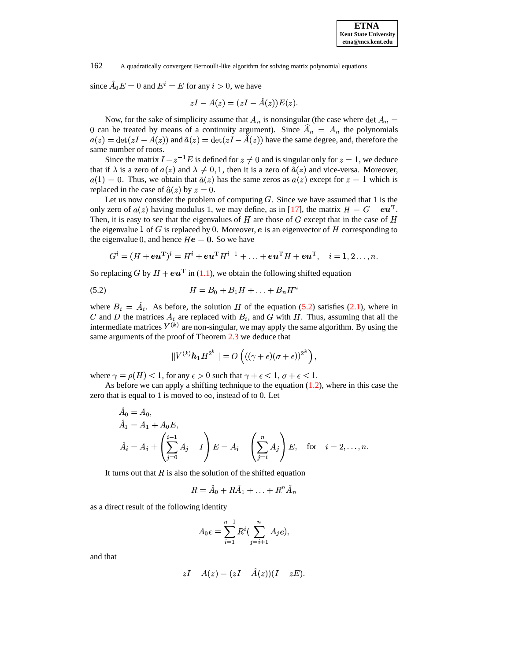since  $A_0 E = 0$  and  $E^i = E$  for any  $i > 0$ , we have

$$
zI - A(z) = (zI - \hat{A}(z))E(z).
$$

Now, for the sake of simplicity assume that  $A_n$  is nonsingular (the case where  $\det A_n =$ <br>n be tracted by means of a continuity grampet). Since  $\hat{A} = A$  the polynomials 0 can be treated by means of a continuity argument). Since  $A_n = A_n$  the polynomials  $g(x) = det(xI - A(x))$  and  $\hat{g}(x) = det(xI - \hat{A}(x))$  have the same degree and therefore the  $a(z) = \det(zI - A(z))$  and  $\hat{a}(z) = \det(zI - A(z))$  have the same degree, and, therefore the same number of roots.

Since the matrix  $I - z^{-1}E$  is defined for  $z \neq 0$  and is singular only for  $z = 1$ , we deduce that if  $\lambda$  is a zero of  $a(z)$  and  $\lambda \neq 0, 1$ , then it is a zero of  $\hat{a}(z)$  and vice-versa. Moreover,  $a(1) = 0$ . Thus, we obtain that  $\hat{a}(z)$  has the same zeros as  $a(z)$  except for  $z = 1$  which is replaced in the case of  $\hat{a}(z)$  by  $z = 0$ .

Let us now consider the problem of computing  $G$ . Since we have assumed that 1 is the only zero of  $a(z)$  having modulus 1, we may define, as in [\[17\]](#page-16-10), the matrix  $H = G - \epsilon \mathbf{u}^{\mathrm{T}}$ . . Then, it is easy to see that the eigenvalues of  $H$  are those of  $G$  except that in the case of the eigenvalue 1 of G is replaced by 0. Moreover,  $e$  is an eigenvector of H corresponding to the eigenvalue 0, and hence  $He = 0$ . So we have

<span id="page-11-0"></span>
$$
G^i=(H+\boldsymbol{e}\boldsymbol{u}^{\rm T})^i=H^i+\boldsymbol{e}\boldsymbol{u}^{\rm T}H^{i-1}+\ldots+\boldsymbol{e}\boldsymbol{u}^{\rm T}H+\boldsymbol{e}\boldsymbol{u}^{\rm T},\quad i=1,2\ldots,n.
$$

So replacing G by  $H + \epsilon u^{\perp}$  in [\(1.1\)](#page-0-1), we obtain the following shifted equation

(5.2) 
$$
H = B_0 + B_1 H + \ldots + B_n H^n
$$

where  $B_i = \tilde{A}_i$ . As before, the solution H of the equation [\(5.2\)](#page-11-0) satisfies [\(2.1\)](#page-2-1), where in and D the matrices  $A_i$  are replaced with  $B_i$ , and G with H. Thus, assuming that all the intermediate matrices  $Y^{(k)}$  are non-singular, we may apply the same algorithm. By using the same arguments of the proof of Theorem [2.3](#page-6-3) we deduce that

$$
||V^{(k)} \boldsymbol{h}_1 H^{2^k}|| = O\left(( (\gamma + \epsilon) (\sigma + \epsilon))^{2^k} \right),
$$

where  $\gamma = \rho(H) < 1$ , for any  $\epsilon > 0$  such that  $\gamma + \epsilon < 1$ ,  $\sigma + \epsilon < 1$ .

As before we can apply a shifting technique to the equation [\(1.2\)](#page-0-0), where in this case the zero that is equal to 1 is moved to  $\infty$ , instead of to 0. Let

$$
A_0 = A_0,
$$
  
\n
$$
\hat{A}_1 = A_1 + A_0 E,
$$
  
\n
$$
\hat{A}_i = A_i + \left(\sum_{j=0}^{i-1} A_j - I\right) E = A_i - \left(\sum_{j=i}^n A_j\right) E, \text{ for } i = 2, ..., n.
$$

It turns out that  $R$  is also the solution of the shifted equation

$$
R = \hat{A}_0 + R\hat{A}_1 + \ldots + R^n\hat{A}_n
$$

as a direct result of the following identity

$$
A_0 e = \sum_{i=1}^{n-1} R^i (\sum_{j=i+1}^n A_j e),
$$

and that

 $\lambda$ 

$$
zI - A(z) = (zI - \hat{A}(z))(I - zE).
$$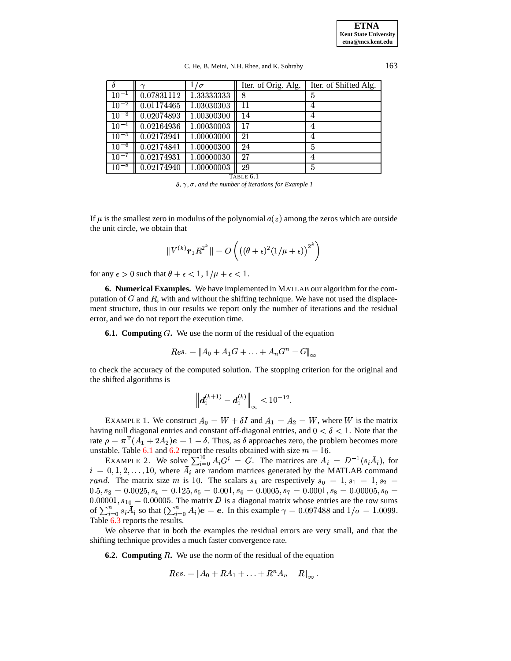C. He, B. Meini, N.H. Rhee, and K. Sohraby 163

|           |            | $1/\sigma$ | Iter. of Orig. Alg. | Iter. of Shifted Alg. |
|-----------|------------|------------|---------------------|-----------------------|
| $10^{-1}$ | 0.07831112 | 1.33333333 |                     | 5                     |
| $10^{-2}$ | 0.01174465 | 1.03030303 | 11                  | 4                     |
| $10^{-3}$ | 0.02074893 | 1.00300300 | 14                  | 4                     |
| $10^{-4}$ | 0.02164936 | 1.00030003 | 17                  | 4                     |
| $10^{-5}$ | 0.02173941 | 1.00003000 | 21                  | 4                     |
| $10^{-6}$ | 0.02174841 | 1.00000300 | 24                  | 5                     |
| $10^{-7}$ | 0.02174931 | 1.00000030 | 27                  | 4                     |
| $10^{-8}$ | 0.02174940 | 1.00000003 | 29                  | 5                     |

TABLE 6.1

*, , , and the number of iterations for Example 1*

<span id="page-12-0"></span>If  $\mu$  is the smallest zero in modulus of the polynomial  $a(z)$  among the zeros which are outside the unit circle, we obtain that

$$
||V^{(k)}\boldsymbol{r}_1R^{2^k}|| = O\left(\left((\theta+\epsilon)^2(1/\mu+\epsilon)\right)^{2^k}\right)
$$

for any  $\epsilon > 0$  such that  $\theta + \epsilon < 1$ ,  $1/\mu + \epsilon < 1$ .

**6. Numerical Examples.** We have implemented in MATLAB our algorithm for the computation of  $G$  and  $R$ , with and without the shifting technique. We have not used the displacement structure, thus in our results we report only the number of iterations and the residual error, and we do not report the execution time.

**6.1. Computing** G. We use the norm of the residual of the equation

$$
Res. = \|A_0 + A_1G + \ldots + A_nG^n - G\|_{\infty}
$$

to check the accuracy of the computed solution. The stopping criterion for the original and the shifted algorithms is

$$
\left\| \bm{d}_1^{(k+1)} - \bm{d}_1^{(k)} \right\|_\infty < 10^{-12}.
$$

EXAMPLE 1. We construct  $A_0 = W + \delta I$  and  $A_1 = A_2 = W$ , where W is the matrix having null diagonal entries and constant off-diagonal entries, and  $0 < \delta < 1$ . Note that the rate  $\rho = \pi^{T}(A_1 + 2A_2)e = 1 - \delta$ . Thus, as  $\delta$  approaches zero, the problem becomes more the  $p = \sqrt{(11 + 212)}e = 1$  of the results obtained with size  $m = 16$ .

able. Table 6.1 and 6.2 report the results obtained<br>EXAMPLE 2. We solve  $\sum_{i=0}^{10} A_i G^i = G$ . Th  $i = 0, 1, 2, \ldots, 10$ , where  $A_i$  are random matrices generated by the MATLAB command  $G^i = G$ . The matrices are  $= D^{-1}(s_i A_i)$ , for  $\sum_{i=0}^{10} A_i G^i = G$ . The matrices are  $A_i = D^{-1}(s_i A_i)$ , for rand. The matrix size m is 10. The scalars  $s_k$  are respectively  $s_0 = 1$ ,  $s_1 = 1$ ,  $s_2 = 0.0005$  $0.5, s_3 = 0.0025, s_4 = 0.125, s_5 = 0.001, s_6 = 0.0005, s_7 = 0.0001, s_8 = 0.00005, s_9 = 0.00005$  $0.00001, s_{10} = 0.00005$ . The matrix D is a diagonal matrix whose entries are the row sums 0.00001,  $s_{10} = 0.00005$ . The matrix D is a diagonal matrix whose entries are the row sums of  $\sum_{i=0}^{n} s_i \overline{A}_i$  so that  $(\sum_{i=0}^{n} A_i)e = e$ . In this example  $\gamma = 0.097488$  and  $1/\sigma = 1.0099$ . Table [6.3](#page-13-1) reports the results.

We observe that in both the examples the residual errors are very small, and that the shifting technique provides a much faster convergence rate.

**6.2. Computing** R. We use the norm of the residual of the equation

$$
Res. = \left\| A_0 + RA_1 + \ldots + R^n A_n - R \right\|_{\infty}.
$$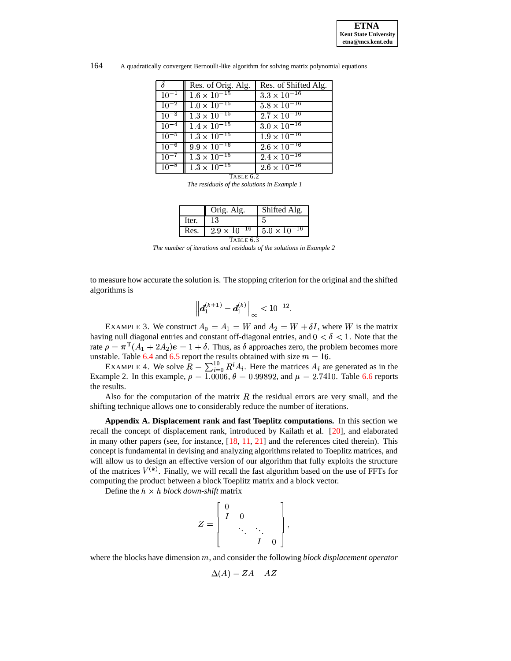

164 A quadratically convergent Bernoulli-like algorithm for solving matrix polynomial equations

|           | Res. of Orig. Alg.    | Res. of Shifted Alg.             |
|-----------|-----------------------|----------------------------------|
| $10^{-1}$ | $1.6 \times 10^{-15}$ | $3.3 \times 10^{-16}$            |
| $10^{-2}$ | $1.0 \times 10^{-15}$ | $5.8 \times 10^{-16}$            |
| $10^{-3}$ | $1.3 \times 10^{-15}$ | $2.7 \times 10^{-16}$            |
| $10^{-4}$ | $1.4 \times 10^{-15}$ | $3.0 \times 10^{-16}$            |
| $10^{-5}$ | $1.3 \times 10^{-15}$ | $1.9 \times \overline{10^{-16}}$ |
| $10^{-6}$ | $9.9 \times 10^{-16}$ | $2.6 \times 10^{-16}$            |
| $10^{-7}$ | $1.3 \times 10^{-15}$ | $2.4 \times 10^{-16}$            |
| $10^{-8}$ | $1.3 \times 10^{-15}$ | $2.6 \times \overline{10^{-16}}$ |
|           | TABLE 6.2             |                                  |

*The residuals of the solutions in Example 1*

<span id="page-13-0"></span>

|           | Orig. Alg.            | Shifted Alg.          |  |  |
|-----------|-----------------------|-----------------------|--|--|
| Iter.     |                       |                       |  |  |
| Res.      | $2.9 \times 10^{-16}$ | $5.0 \times 10^{-16}$ |  |  |
| TABLE 6.3 |                       |                       |  |  |

*The number of iterations and residuals of the solutions in Example 2*

<span id="page-13-1"></span>to measure how accurate the solution is. The stopping criterion for the original and the shifted algorithms is

$$
\left| \bm{d}_1^{(k+1)} - \bm{d}_1^{(k)} \right\|_\infty < 10^{-12}.
$$

EXAMPLE 3. We construct  $A_0 = A_1 = W$  and  $A_2 = W + \delta I$ , where W is the matrix having null diagonal entries and constant off-diagonal entries, and  $0 < \delta < 1$ . Note that the rate  $\rho = \pi^{T}(A_1 + 2A_2)e = 1 + \delta$ . Thus, as  $\delta$  approaches zero, the problem becomes more the  $p = \lambda \sqrt{11 + 212}/2 = 1 + 0$ . Thus, as  $\theta$  approaches zero, the problem second unstable. Table [6.4](#page-14-0) and [6.5](#page-14-1) report the results obtained with size  $m = 16$ .

able. Table 6.4 and 6.5 report the results obtained with<br>EXAMPLE 4. We solve  $R = \sum_{i=0}^{10} R^i A_i$ . Here the m  $A_i$ . Here the matrices  $A_i$  are generated as in the  $A_i$  = 0.99892, and  $\mu = 2.7410$ . Table 6.6 reports Example 2. In this example,  $\rho = 1.0006$ ,  $\theta = 0.99892$ , and  $\mu = 2.7410$ . Table [6.6](#page-15-13) reports the results.

Also for the computation of the matrix  $R$  the residual errors are very small, and the shifting technique allows one to considerably reduce the number of iterations.

**Appendix A. Displacement rank and fast Toeplitz computations.** In this section we recall the concept of displacement rank, introduced by Kailath et al. [\[20\]](#page-16-9), and elaborated in many other papers (see, for instance, [\[18,](#page-16-13) [11,](#page-15-14) [21\]](#page-16-14) and the references cited therein). This concept is fundamental in devising and analyzing algorithms related to Toeplitz matrices, and will allow us to design an effective version of our algorithm that fully exploits the structure of the matrices  $V^{(k)}$ . Finally, we will recall the fast algorithm based on the use of FFTs for computing the product between a block Toeplitz matrix and a block vector.

Define the *block down-shift* matrix

$$
Z = \left[ \begin{array}{cccc} 0 & & & \\ I & 0 & & \\ & \ddots & \ddots & \\ & & I & 0 \end{array} \right],
$$

where the blocks have dimension m, and consider the following *block displacement operator* 

$$
\Delta(A) = ZA - AZ
$$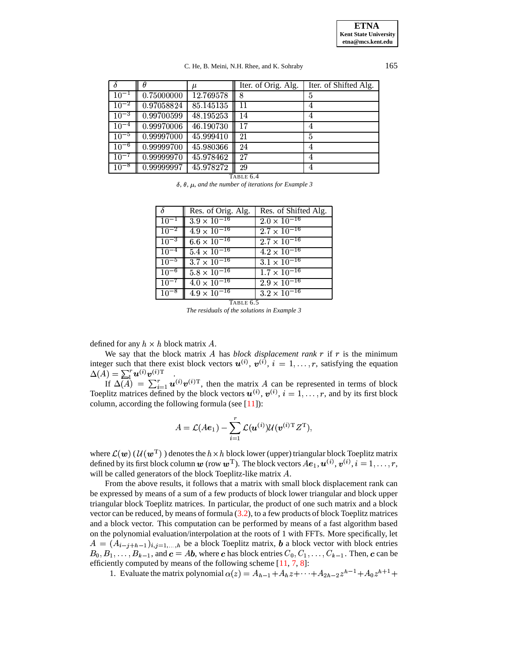### C. He, B. Meini, N.H. Rhee, and K. Sohraby 165

|           |            | $\mu$     | Iter. of Orig. Alg. | Iter. of Shifted Alg. |
|-----------|------------|-----------|---------------------|-----------------------|
| $10^{-1}$ | 0.75000000 | 12.769578 | 8                   | 5                     |
| $10^{-2}$ | 0.97058824 | 85.145135 | 11                  | 4                     |
| $10^{-3}$ | 0.99700599 | 48.195253 | 14                  | 4                     |
| $10^{-4}$ | 0.99970006 | 46.190730 |                     |                       |
| $10^{-5}$ | 0.99997000 | 45.999410 | 21                  | 5                     |
| $10^{-6}$ | 0.99999700 | 45.980366 | 24                  |                       |
| $10^{-7}$ | 0.99999970 | 45.978462 | 27                  | 4                     |
| $10^{-8}$ | 0.99999997 | 45.978272 | 29                  | 4                     |

TABLE 6.4

 $\delta$ ,  $\theta$ ,  $\mu$ , and the number of iterations for *Example* 3

<span id="page-14-0"></span>

| $\delta$  | Res. of Orig. Alg.               | Res. of Shifted Alg.  |
|-----------|----------------------------------|-----------------------|
| $10^{-1}$ | $3.9 \times 10^{-16}$            | $2.0 \times 10^{-16}$ |
| $10^{-2}$ | $4.9 \times 10^{-16}$            | $2.7 \times 10^{-16}$ |
| $10^{-3}$ | $6.6 \times 10^{-16}$            | $2.7 \times 10^{-16}$ |
| $10^{-4}$ | $5.4 \times \overline{10^{-16}}$ | $4.2 \times 10^{-16}$ |
| $10^{-5}$ | $3.7 \times 10^{-16}$            | $3.1 \times 10^{-16}$ |
| $10^{-6}$ | $5.8 \times 10^{-16}$            | $1.7 \times 10^{-16}$ |
| $10^{-7}$ | $4.0 \times 10^{-16}$            | $2.9 \times 10^{-16}$ |
| $10^{-8}$ | $4.9 \times 10^{-16}$            | $3.2 \times 10^{-16}$ |
|           | TABLE 6.5                        |                       |

*The residuals of the solutions in Example 3*

<span id="page-14-1"></span>defined for any  $h \times h$  block matrix A.

We say that the block matrix  $\vec{A}$  has *block displacement rank*  $\vec{r}$  if  $\vec{r}$  is the minimum integer such that there exist block vectors  $u^{(i)}$ ,  $v^{(i)}$ ,  $i = 1, \ldots, r$ , satisfying the equation  $\Delta(A) = \sum_{i}^{r} u^{(i)} v^{(i)T}$ .<br>
If  $\Delta(A) = \sum_{i}^{r} u^{(i)} v^{(i)T}$ er such that there e:<br>  $= \sum_{i}^{r} u^{(i)} v^{(i)T}$ 

 $\mathbf{I}(\mathbf{I}) = \sum_{i=1}^{N} \mathbf{u}^{(i)} \mathbf{v}^{(i)1}$ .<br>
If  $\Delta(A) = \sum_{i=1}^{r} \mathbf{u}^{(i)} \mathbf{v}^{(i)1}$ ,  $\mathbf{u}^{(i)}\mathbf{v}^{(i)T}$ , then the matrix A can be represented in terms of block Toeplitz matrices defined by the block vectors  $u^{(i)}$ ,  $v^{(i)}$ ,  $i = 1, \ldots, r$ , and by its first block column, according the following formula (see  $[11]$ ):

$$
A = \mathcal{L}(Ae_1) - \sum_{i=1}^r \mathcal{L}(\boldsymbol{u}^{(i)}) \mathcal{U}(\boldsymbol{v}^{(i)\text{T}}Z^\text{T}),
$$

where  $\mathcal{L}(\bm{w})$  ( $\mathcal{U}(\bm{w}^{\mathrm{T}})$ ) denotes the  $h \times h$  block lower (upper) triangular block Toeplitz matrix defined by its first block column  $w$  (row  $w^T$ ). The block vectors  $Ae_1, u^{(i)}, v^{(i)}, i = 1, \ldots, r$ , will be called generators of the block Toeplitz-like matrix  $A$ .

 From the above results, it follows that a matrix with small block displacement rank can be expressed by means of a sum of a few products of block lower triangular and block upper triangular block Toeplitz matrices. In particular, the product of one such matrix and a block vector can be reduced, by means of formula [\(3.2\)](#page-8-2), to a few products of block Toeplitz matrices and a block vector. This computation can be performed by means of a fast algorithm based on the polynomial evaluation/interpolation at the roots of 1 with FFTs. More specifically, let  $B_0, B_1, \ldots, B_{k-1}$ , and  $c = Ab$ , where c has block entries  $C_0, C_1, \ldots, C_{k-1}$ . Then, c can be  $= (A_{i-j+h-1})_{i,j=1,...,h}$  be a block Toeplitz matrix, **b** a block vector with block entries efficiently computed by means of the following scheme  $[11, 7, 8]$  $[11, 7, 8]$  $[11, 7, 8]$  $[11, 7, 8]$  $[11, 7, 8]$ :

1. Evaluate the matrix polynomial  $\alpha(z) = A_{h-1} + A_h z + \cdots + A_{2h-2} z^{h-1} + A_0 z^{h+1} +$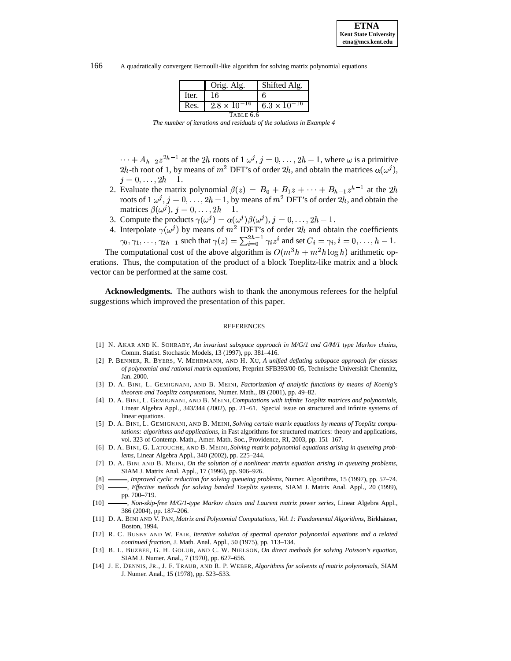166 A quadratically convergent Bernoulli-like algorithm for solving matrix polynomial equations

|           | Orig. Alg.            | Shifted Alg.                     |  |  |
|-----------|-----------------------|----------------------------------|--|--|
| Iter.     | 16                    |                                  |  |  |
| Res.      | $2.8 \times 10^{-16}$ | $6.3 \times \overline{10^{-16}}$ |  |  |
| TABLE 6.6 |                       |                                  |  |  |

*The number of iterations and residuals of the solutions in Example 4*

<span id="page-15-13"></span> $\cdots + A_{h-2}z^{2h-1}$  at the 2h roots of  $1 \omega^j$ ,  $j = 0, \ldots, 2h-1$ , where  $\omega$  is a primitive 2h-th root of 1, by means of  $m^2$  DFT's of order 2h, and obtain the matrices  $\alpha(\omega^j)$ ,  $j$ ),  $j = 0, \ldots, 2h - 1.$ 

- 2. Evaluate the matrix polynomial  $\beta(z) = B_0 + B_1 z + \cdots + B_{h-1} z^{h-1}$  at the roots of  $1 \omega^j$ ,  $j = 0, \ldots, 2h - 1$ , by means of  $m^2$  DFT's of order  $2h$ , and obtain the  $h-1$  at the 2h matrices  $\beta(\omega^j)$ ,  $j=0,\ldots$  $(i, j = 0, \ldots, 2h - 1).$
- 3. Compute the products  $\gamma(\omega^j) = \alpha(\omega^j)\beta(\omega^j), j =$  $(i)$  $\beta(\omega^j)$ ,  $i=0,\ldots$  $(i)$ ,  $j = 0, \ldots, 2h - 1.$
- 4. Interpolate  $\gamma(\omega^j)$  by means  $\phi$ ) by means of  $m^2$  IDFT's of order 2h and obtain the coefficients Interpolate  $\gamma(\omega^j)$  by means of  $m^2$  IDFT's of order 2h and  $\gamma_0, \gamma_1, \dots, \gamma_{2h-1}$  such that  $\gamma(z) = \sum_{i=0}^{2h-1} \gamma_i z^i$  and set  $C_i$  $z^i$  and set  $C_i = \gamma_i$ ,  $i = 0, \ldots$ . . .  $=\gamma_i, i=0,\ldots,$  ,  $i=0,\ldots,h-1$ .

The computational cost of the above algorithm is  $O(m^3 h + m^2 h \log h)$  arithmetic operations. Thus, the computation of the product of a block Toeplitz-like matrix and a block vector can be performed at the same cost.

**Acknowledgments.** The authors wish to thank the anonymous referees for the helpful suggestions which improved the presentation of this paper.

#### REFERENCES

- <span id="page-15-3"></span>[1] N. AKAR AND K. SOHRABY, *An invariant subspace approach in M/G/1 and G/M/1 type Markov chains*, Comm. Statist. Stochastic Models, 13 (1997), pp. 381–416.
- <span id="page-15-6"></span>[2] P. BENNER, R. BYERS, V. MEHRMANN, AND H. XU, *A unified deflating subspace approach for classes of polynomial and rational matrix equations*, Preprint SFB393/00-05, Technische Universitat¨ Chemnitz, Jan. 2000.
- <span id="page-15-9"></span>[3] D. A. BINI, L. GEMIGNANI, AND B. MEINI, *Factorization of analytic functions by means of Koenig's theorem and Toeplitz computations*, Numer. Math., 89 (2001), pp. 49–82.
- <span id="page-15-8"></span>[4] D. A. BINI, L. GEMIGNANI, AND B. MEINI, *Computations with infinite Toeplitz matrices and polynomials*, Linear Algebra Appl., 343/344 (2002), pp. 21–61. Special issue on structured and infinite systems of linear equations.
- <span id="page-15-11"></span>[5] D. A. BINI, L. GEMIGNANI, AND B. MEINI, *Solving certain matrix equations by means of Toeplitz computations: algorithms and applications*, in Fast algorithms for structured matrices: theory and applications, vol. 323 of Contemp. Math., Amer. Math. Soc., Providence, RI, 2003, pp. 151–167.
- <span id="page-15-2"></span>[6] D. A. BINI, G. LATOUCHE, AND B. MEINI, *Solving matrix polynomial equations arising in queueing problems*, Linear Algebra Appl., 340 (2002), pp. 225–244.
- <span id="page-15-0"></span>[7] D. A. BINI AND B. MEINI, *On the solution of a nonlinear matrix equation arising in queueing problems*, SIAM J. Matrix Anal. Appl., 17 (1996), pp. 906–926.
- <span id="page-15-1"></span>[8] , *Improved cyclic reduction for solving queueing problems*, Numer. Algorithms, 15 (1997), pp. 57–74.
- <span id="page-15-10"></span>[9] , *Effective methods for solving banded Toeplitz systems*, SIAM J. Matrix Anal. Appl., 20 (1999), pp. 700–719.
- <span id="page-15-12"></span>[10] , *Non-skip-free M/G/1-type Markov chains and Laurent matrix power series*, Linear Algebra Appl., 386 (2004), pp. 187–206.
- <span id="page-15-14"></span>[11] D. A. BINI AND V. PAN, *Matrix and Polynomial Computations, Vol. 1: Fundamental Algorithms*, Birkhäuser, Boston, 1994.
- <span id="page-15-4"></span>[12] R. C. BUSBY AND W. FAIR, *Iterative solution of spectral operator polynomial equations and a related continued fraction*, J. Math. Anal. Appl., 50 (1975), pp. 113–134.
- <span id="page-15-7"></span>[13] B. L. BUZBEE, G. H. GOLUB, AND C. W. NIELSON, *On direct methods for solving Poisson's equation*, SIAM J. Numer. Anal., 7 (1970), pp. 627–656.
- <span id="page-15-5"></span>[14] J. E. DENNIS, JR., J. F. TRAUB, AND R. P. WEBER, *Algorithms for solvents of matrix polynomials*, SIAM J. Numer. Anal., 15 (1978), pp. 523–533.